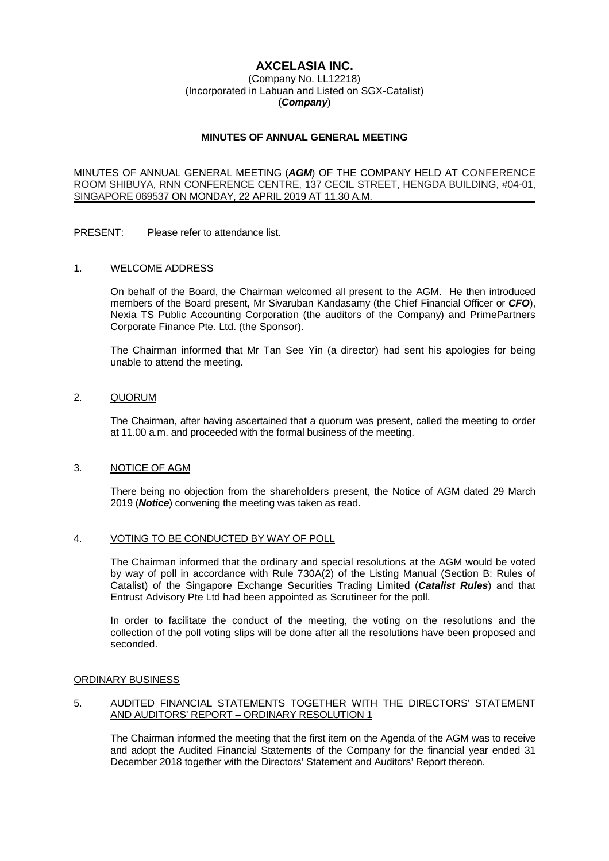## **AXCELASIA INC.**

## (Company No. LL12218) (Incorporated in Labuan and Listed on SGX-Catalist) (**Company**)

## **MINUTES OF ANNUAL GENERAL MEETING**

MINUTES OF ANNUAL GENERAL MEETING (**AGM**) OF THE COMPANY HELD AT CONFERENCE ROOM SHIBUYA, RNN CONFERENCE CENTRE, 137 CECIL STREET, HENGDA BUILDING, #04-01, SINGAPORE 069537 ON MONDAY, 22 APRIL 2019 AT 11.30 A.M.

PRESENT: Please refer to attendance list.

## 1. WELCOME ADDRESS

On behalf of the Board, the Chairman welcomed all present to the AGM. He then introduced members of the Board present, Mr Sivaruban Kandasamy (the Chief Financial Officer or **CFO**), Nexia TS Public Accounting Corporation (the auditors of the Company) and PrimePartners Corporate Finance Pte. Ltd. (the Sponsor).

The Chairman informed that Mr Tan See Yin (a director) had sent his apologies for being unable to attend the meeting.

## 2. QUORUM

The Chairman, after having ascertained that a quorum was present, called the meeting to order at 11.00 a.m. and proceeded with the formal business of the meeting.

## 3. NOTICE OF AGM

There being no objection from the shareholders present, the Notice of AGM dated 29 March 2019 (**Notice**) convening the meeting was taken as read.

## 4. VOTING TO BE CONDUCTED BY WAY OF POLL

The Chairman informed that the ordinary and special resolutions at the AGM would be voted by way of poll in accordance with Rule 730A(2) of the Listing Manual (Section B: Rules of Catalist) of the Singapore Exchange Securities Trading Limited (**Catalist Rules**) and that Entrust Advisory Pte Ltd had been appointed as Scrutineer for the poll.

In order to facilitate the conduct of the meeting, the voting on the resolutions and the collection of the poll voting slips will be done after all the resolutions have been proposed and seconded.

#### ORDINARY BUSINESS

#### 5. AUDITED FINANCIAL STATEMENTS TOGETHER WITH THE DIRECTORS' STATEMENT AND AUDITORS' REPORT – ORDINARY RESOLUTION 1

The Chairman informed the meeting that the first item on the Agenda of the AGM was to receive and adopt the Audited Financial Statements of the Company for the financial year ended 31 December 2018 together with the Directors' Statement and Auditors' Report thereon.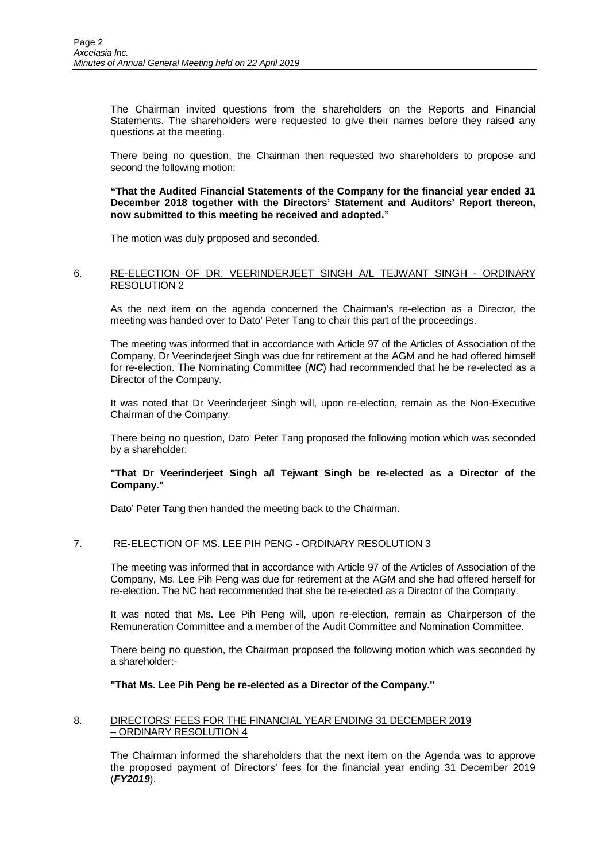The Chairman invited questions from the shareholders on the Reports and Financial Statements. The shareholders were requested to give their names before they raised any questions at the meeting.

There being no question, the Chairman then requested two shareholders to propose and second the following motion:

**"That the Audited Financial Statements of the Company for the financial year ended 31 December 2018 together with the Directors' Statement and Auditors' Report thereon, now submitted to this meeting be received and adopted."** 

The motion was duly proposed and seconded.

## 6. RE-ELECTION OF DR. VEERINDERJEET SINGH A/L TEJWANT SINGH - ORDINARY RESOLUTION 2

As the next item on the agenda concerned the Chairman's re-election as a Director, the meeting was handed over to Dato' Peter Tang to chair this part of the proceedings.

The meeting was informed that in accordance with Article 97 of the Articles of Association of the Company, Dr Veerinderjeet Singh was due for retirement at the AGM and he had offered himself for re-election. The Nominating Committee (**NC**) had recommended that he be re-elected as a Director of the Company.

It was noted that Dr Veerinderjeet Singh will, upon re-election, remain as the Non-Executive Chairman of the Company.

There being no question, Dato' Peter Tang proposed the following motion which was seconded by a shareholder:

## **"That Dr Veerinderjeet Singh a/l Tejwant Singh be re-elected as a Director of the Company."**

Dato' Peter Tang then handed the meeting back to the Chairman.

## 7. RE-ELECTION OF MS. LEE PIH PENG - ORDINARY RESOLUTION 3

The meeting was informed that in accordance with Article 97 of the Articles of Association of the Company, Ms. Lee Pih Peng was due for retirement at the AGM and she had offered herself for re-election. The NC had recommended that she be re-elected as a Director of the Company.

It was noted that Ms. Lee Pih Peng will, upon re-election, remain as Chairperson of the Remuneration Committee and a member of the Audit Committee and Nomination Committee.

There being no question, the Chairman proposed the following motion which was seconded by a shareholder:-

## **"That Ms. Lee Pih Peng be re-elected as a Director of the Company."**

## 8. DIRECTORS' FEES FOR THE FINANCIAL YEAR ENDING 31 DECEMBER 2019 – ORDINARY RESOLUTION 4

The Chairman informed the shareholders that the next item on the Agenda was to approve the proposed payment of Directors' fees for the financial year ending 31 December 2019 (**FY2019**).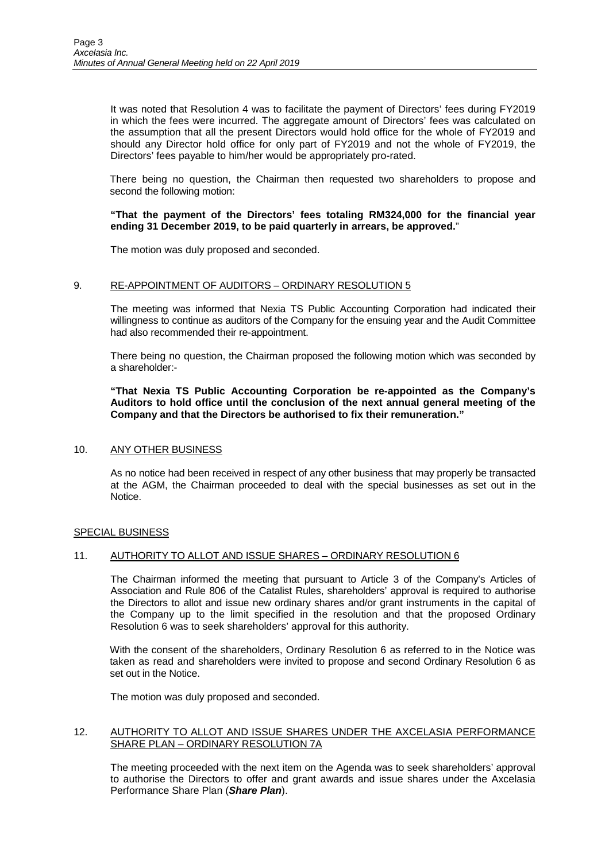It was noted that Resolution 4 was to facilitate the payment of Directors' fees during FY2019 in which the fees were incurred. The aggregate amount of Directors' fees was calculated on the assumption that all the present Directors would hold office for the whole of FY2019 and should any Director hold office for only part of FY2019 and not the whole of FY2019, the Directors' fees payable to him/her would be appropriately pro-rated.

There being no question, the Chairman then requested two shareholders to propose and second the following motion:

## **"That the payment of the Directors' fees totaling RM324,000 for the financial year ending 31 December 2019, to be paid quarterly in arrears, be approved.**"

The motion was duly proposed and seconded.

## 9. RE-APPOINTMENT OF AUDITORS – ORDINARY RESOLUTION 5

The meeting was informed that Nexia TS Public Accounting Corporation had indicated their willingness to continue as auditors of the Company for the ensuing year and the Audit Committee had also recommended their re-appointment.

There being no question, the Chairman proposed the following motion which was seconded by a shareholder:-

**"That Nexia TS Public Accounting Corporation be re-appointed as the Company's Auditors to hold office until the conclusion of the next annual general meeting of the Company and that the Directors be authorised to fix their remuneration."** 

## 10. ANY OTHER BUSINESS

As no notice had been received in respect of any other business that may properly be transacted at the AGM, the Chairman proceeded to deal with the special businesses as set out in the Notice.

## SPECIAL BUSINESS

# 11. AUTHORITY TO ALLOT AND ISSUE SHARES - ORDINARY RESOLUTION 6

The Chairman informed the meeting that pursuant to Article 3 of the Company's Articles of Association and Rule 806 of the Catalist Rules, shareholders' approval is required to authorise the Directors to allot and issue new ordinary shares and/or grant instruments in the capital of the Company up to the limit specified in the resolution and that the proposed Ordinary Resolution 6 was to seek shareholders' approval for this authority.

With the consent of the shareholders, Ordinary Resolution 6 as referred to in the Notice was taken as read and shareholders were invited to propose and second Ordinary Resolution 6 as set out in the Notice.

The motion was duly proposed and seconded.

## 12. AUTHORITY TO ALLOT AND ISSUE SHARES UNDER THE AXCELASIA PERFORMANCE SHARE PLAN – ORDINARY RESOLUTION 7A

The meeting proceeded with the next item on the Agenda was to seek shareholders' approval to authorise the Directors to offer and grant awards and issue shares under the Axcelasia Performance Share Plan (**Share Plan**).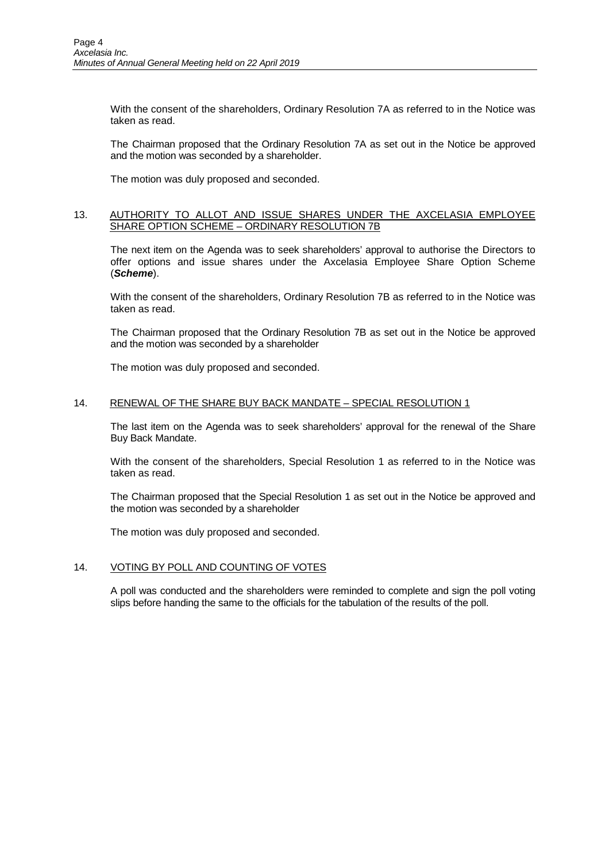With the consent of the shareholders, Ordinary Resolution 7A as referred to in the Notice was taken as read.

The Chairman proposed that the Ordinary Resolution 7A as set out in the Notice be approved and the motion was seconded by a shareholder.

The motion was duly proposed and seconded.

## 13. AUTHORITY TO ALLOT AND ISSUE SHARES UNDER THE AXCELASIA EMPLOYEE SHARE OPTION SCHEME – ORDINARY RESOLUTION 7B

The next item on the Agenda was to seek shareholders' approval to authorise the Directors to offer options and issue shares under the Axcelasia Employee Share Option Scheme (**Scheme**).

With the consent of the shareholders, Ordinary Resolution 7B as referred to in the Notice was taken as read.

The Chairman proposed that the Ordinary Resolution 7B as set out in the Notice be approved and the motion was seconded by a shareholder

The motion was duly proposed and seconded.

## 14. RENEWAL OF THE SHARE BUY BACK MANDATE - SPECIAL RESOLUTION 1

The last item on the Agenda was to seek shareholders' approval for the renewal of the Share Buy Back Mandate.

With the consent of the shareholders, Special Resolution 1 as referred to in the Notice was taken as read.

The Chairman proposed that the Special Resolution 1 as set out in the Notice be approved and the motion was seconded by a shareholder

The motion was duly proposed and seconded.

## 14. VOTING BY POLL AND COUNTING OF VOTES

A poll was conducted and the shareholders were reminded to complete and sign the poll voting slips before handing the same to the officials for the tabulation of the results of the poll.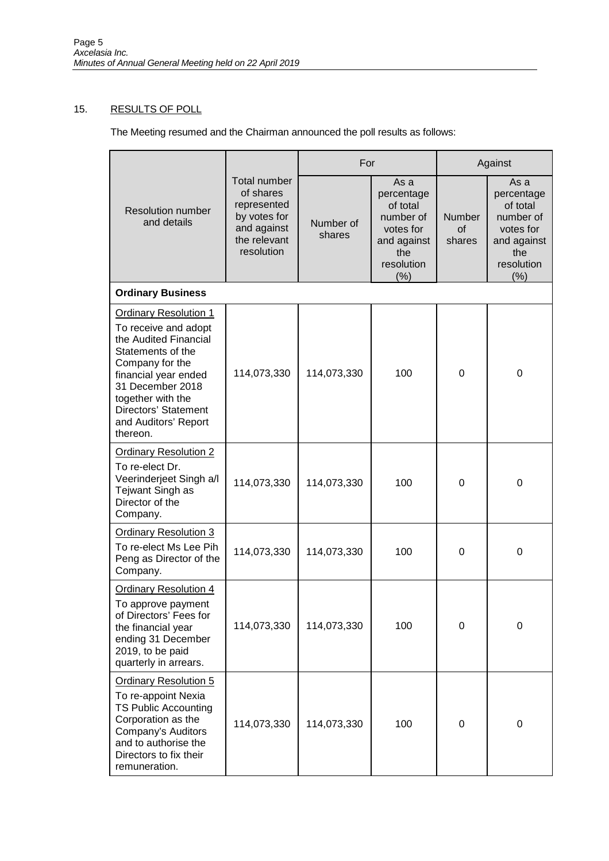# 15. RESULTS OF POLL

The Meeting resumed and the Chairman announced the poll results as follows:

|                                                                                                                                                                                                                                                    | <b>Total number</b><br>of shares<br>represented<br>by votes for<br>and against<br>the relevant<br>resolution | For                 |                                                                                                      | Against                              |                                                                                                      |  |  |  |
|----------------------------------------------------------------------------------------------------------------------------------------------------------------------------------------------------------------------------------------------------|--------------------------------------------------------------------------------------------------------------|---------------------|------------------------------------------------------------------------------------------------------|--------------------------------------|------------------------------------------------------------------------------------------------------|--|--|--|
| <b>Resolution number</b><br>and details                                                                                                                                                                                                            |                                                                                                              | Number of<br>shares | As a<br>percentage<br>of total<br>number of<br>votes for<br>and against<br>the<br>resolution<br>(% ) | <b>Number</b><br><b>of</b><br>shares | As a<br>percentage<br>of total<br>number of<br>votes for<br>and against<br>the<br>resolution<br>(% ) |  |  |  |
| <b>Ordinary Business</b>                                                                                                                                                                                                                           |                                                                                                              |                     |                                                                                                      |                                      |                                                                                                      |  |  |  |
| <b>Ordinary Resolution 1</b><br>To receive and adopt<br>the Audited Financial<br>Statements of the<br>Company for the<br>financial year ended<br>31 December 2018<br>together with the<br>Directors' Statement<br>and Auditors' Report<br>thereon. | 114,073,330                                                                                                  | 114,073,330         | 100                                                                                                  | $\mathbf 0$                          | 0                                                                                                    |  |  |  |
| <b>Ordinary Resolution 2</b><br>To re-elect Dr.<br>Veerinderjeet Singh a/l<br>Tejwant Singh as<br>Director of the<br>Company.                                                                                                                      | 114,073,330                                                                                                  | 114,073,330         | 100                                                                                                  | 0                                    | 0                                                                                                    |  |  |  |
| <b>Ordinary Resolution 3</b><br>To re-elect Ms Lee Pih<br>Peng as Director of the<br>Company.                                                                                                                                                      | 114,073,330                                                                                                  | 114,073,330         | 100                                                                                                  | $\Omega$                             | 0                                                                                                    |  |  |  |
| <b>Ordinary Resolution 4</b><br>To approve payment<br>of Directors' Fees for<br>the financial year<br>ending 31 December<br>2019, to be paid<br>quarterly in arrears.                                                                              | 114,073,330                                                                                                  | 114,073,330         | 100                                                                                                  | 0                                    | 0                                                                                                    |  |  |  |
| <b>Ordinary Resolution 5</b><br>To re-appoint Nexia<br><b>TS Public Accounting</b><br>Corporation as the<br>Company's Auditors<br>and to authorise the<br>Directors to fix their<br>remuneration.                                                  | 114,073,330                                                                                                  | 114,073,330         | 100                                                                                                  | 0                                    | $\boldsymbol{0}$                                                                                     |  |  |  |